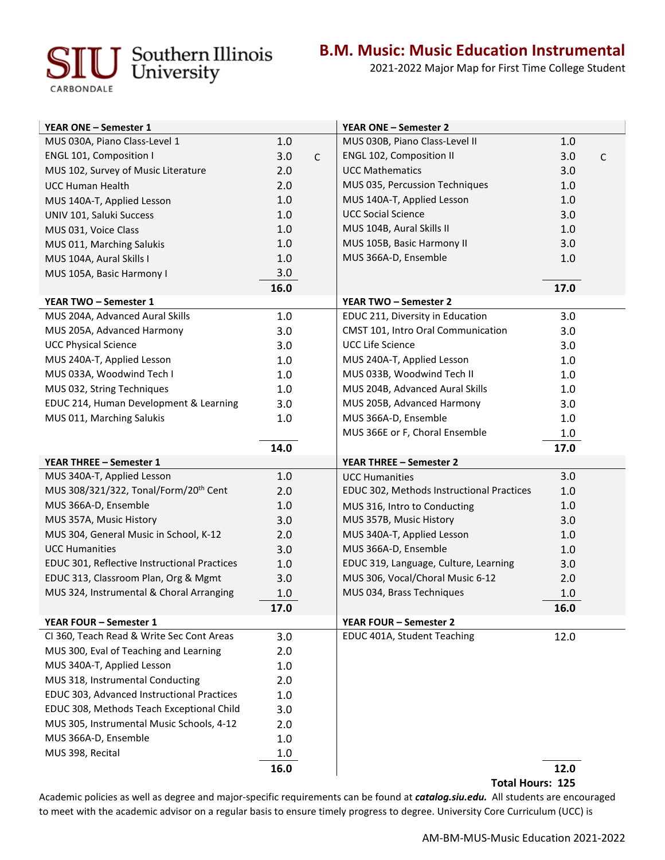## **IU** Southern Illinois

CARBONDALE

**B.M. Music: Music Education Instrumental**

2021-2022 Major Map for First Time College Student

| <b>YEAR ONE - Semester 1</b>                                                   |      |              | <b>YEAR ONE - Semester 2</b>              |      |              |
|--------------------------------------------------------------------------------|------|--------------|-------------------------------------------|------|--------------|
| MUS 030A, Piano Class-Level 1                                                  | 1.0  |              | MUS 030B, Piano Class-Level II            | 1.0  |              |
| <b>ENGL 101, Composition I</b>                                                 | 3.0  | $\mathsf{C}$ | ENGL 102, Composition II                  | 3.0  | $\mathsf{C}$ |
| MUS 102, Survey of Music Literature                                            | 2.0  |              | <b>UCC Mathematics</b>                    | 3.0  |              |
| <b>UCC Human Health</b>                                                        | 2.0  |              | MUS 035, Percussion Techniques            | 1.0  |              |
| MUS 140A-T, Applied Lesson                                                     | 1.0  |              | MUS 140A-T, Applied Lesson                | 1.0  |              |
| UNIV 101, Saluki Success                                                       | 1.0  |              | <b>UCC Social Science</b>                 | 3.0  |              |
| MUS 031, Voice Class                                                           | 1.0  |              | MUS 104B, Aural Skills II                 | 1.0  |              |
| MUS 011, Marching Salukis                                                      | 1.0  |              | MUS 105B, Basic Harmony II                | 3.0  |              |
| MUS 104A, Aural Skills I                                                       | 1.0  |              | MUS 366A-D, Ensemble                      | 1.0  |              |
| MUS 105A, Basic Harmony I                                                      | 3.0  |              |                                           |      |              |
|                                                                                | 16.0 |              |                                           | 17.0 |              |
| YEAR TWO - Semester 1                                                          |      |              | YEAR TWO - Semester 2                     |      |              |
| MUS 204A, Advanced Aural Skills                                                | 1.0  |              | EDUC 211, Diversity in Education          | 3.0  |              |
| MUS 205A, Advanced Harmony                                                     | 3.0  |              | CMST 101, Intro Oral Communication        | 3.0  |              |
| <b>UCC Physical Science</b>                                                    | 3.0  |              | <b>UCC Life Science</b>                   | 3.0  |              |
| MUS 240A-T, Applied Lesson                                                     | 1.0  |              | MUS 240A-T, Applied Lesson                | 1.0  |              |
| MUS 033A, Woodwind Tech I                                                      | 1.0  |              | MUS 033B, Woodwind Tech II                | 1.0  |              |
| MUS 032, String Techniques                                                     | 1.0  |              | MUS 204B, Advanced Aural Skills           | 1.0  |              |
| EDUC 214, Human Development & Learning                                         | 3.0  |              | MUS 205B, Advanced Harmony                | 3.0  |              |
| MUS 011, Marching Salukis                                                      | 1.0  |              | MUS 366A-D, Ensemble                      | 1.0  |              |
|                                                                                |      |              | MUS 366E or F, Choral Ensemble            | 1.0  |              |
|                                                                                | 14.0 |              |                                           | 17.0 |              |
| <b>YEAR THREE - Semester 1</b>                                                 |      |              | <b>YEAR THREE - Semester 2</b>            |      |              |
| MUS 340A-T, Applied Lesson                                                     | 1.0  |              | <b>UCC Humanities</b>                     | 3.0  |              |
| MUS 308/321/322, Tonal/Form/20 <sup>th</sup> Cent                              | 2.0  |              | EDUC 302, Methods Instructional Practices | 1.0  |              |
| MUS 366A-D, Ensemble                                                           | 1.0  |              | MUS 316, Intro to Conducting              | 1.0  |              |
| MUS 357A, Music History                                                        | 3.0  |              | MUS 357B, Music History                   | 3.0  |              |
| MUS 304, General Music in School, K-12                                         | 2.0  |              | MUS 340A-T, Applied Lesson                | 1.0  |              |
| <b>UCC Humanities</b>                                                          | 3.0  |              | MUS 366A-D, Ensemble                      | 1.0  |              |
| EDUC 301, Reflective Instructional Practices                                   | 1.0  |              | EDUC 319, Language, Culture, Learning     | 3.0  |              |
| EDUC 313, Classroom Plan, Org & Mgmt                                           | 3.0  |              | MUS 306, Vocal/Choral Music 6-12          | 2.0  |              |
| MUS 324, Instrumental & Choral Arranging                                       | 1.0  |              | MUS 034, Brass Techniques                 | 1.0  |              |
|                                                                                | 17.0 |              |                                           | 16.0 |              |
| <b>YEAR FOUR - Semester 1</b><br>CI 360, Teach Read & Write Sec Cont Areas     |      |              | YEAR FOUR - Semester 2                    |      |              |
|                                                                                | 3.0  |              | EDUC 401A, Student Teaching               | 12.0 |              |
| MUS 300, Eval of Teaching and Learning                                         | 2.0  |              |                                           |      |              |
| MUS 340A-T, Applied Lesson                                                     | 1.0  |              |                                           |      |              |
| MUS 318, Instrumental Conducting<br>EDUC 303, Advanced Instructional Practices | 2.0  |              |                                           |      |              |
| EDUC 308, Methods Teach Exceptional Child                                      | 1.0  |              |                                           |      |              |
|                                                                                | 3.0  |              |                                           |      |              |
| MUS 305, Instrumental Music Schools, 4-12<br>MUS 366A-D, Ensemble              | 2.0  |              |                                           |      |              |
| MUS 398, Recital                                                               | 1.0  |              |                                           |      |              |
|                                                                                | 1.0  |              |                                           |      |              |
|                                                                                | 16.0 |              |                                           | 12.0 |              |

**Total Hours: 125** 

Academic policies as well as degree and major-specific requirements can be found at *catalog.siu.edu.* All students are encouraged to meet with the academic advisor on a regular basis to ensure timely progress to degree. University Core Curriculum (UCC) is